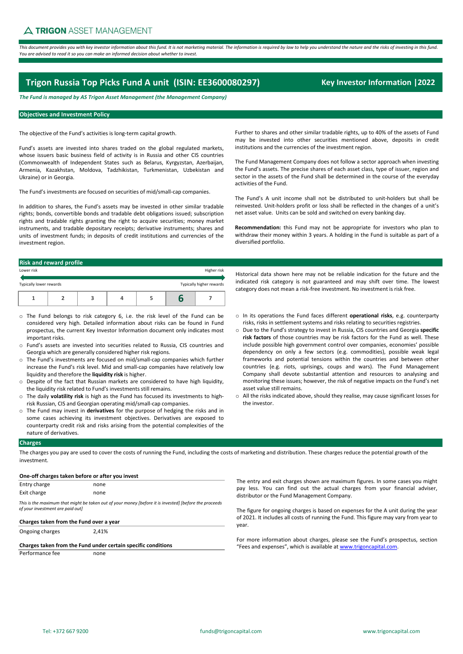*This document provides you with key investor information about this fund. It is not marketing material. The information is required by law to help you understand the nature and the risks of investing in this fund. You are advised to read it so you can make an informed decision about whether to invest.*

# **Trigon Russia Top Picks Fund A unit (ISIN: EE3600080297) Key Investor Information |2022**

*The Fund is managed by AS Trigon Asset Management (the Management Company)*

# **Objectives and Investment Policy**

The objective of the Fund's activities is long-term capital growth.

Fund's assets are invested into shares traded on the global regulated markets, whose issuers basic business field of activity is in Russia and other CIS countries (Commonwealth of Independent States such as Belarus, Kyrgyzstan, Azerbaijan, Armenia, Kazakhstan, Moldova, Tadzhikistan, Turkmenistan, Uzbekistan and Ukraine) or in Georgia.

The Fund's investments are focused on securities of mid/small-cap companies.

In addition to shares, the Fund's assets may be invested in other similar tradable rights; bonds, convertible bonds and tradable debt obligations issued; subscription rights and tradable rights granting the right to acquire securities; money market instruments, and tradable depositary receipts; derivative instruments; shares and units of investment funds; in deposits of credit institutions and currencies of the investment region.

Further to shares and other similar tradable rights, up to 40% of the assets of Fund may be invested into other securities mentioned above, deposits in credit institutions and the currencies of the investment region.

The Fund Management Company does not follow a sector approach when investing the Fund's assets. The precise shares of each asset class, type of issuer, region and sector in the assets of the Fund shall be determined in the course of the everyday activities of the Fund.

The Fund's A unit income shall not be distributed to unit-holders but shall be reinvested. Unit-holders profit or loss shall be reflected in the changes of a unit's net asset value. Units can be sold and switched on every banking day.

**Recommendation:** this Fund may not be appropriate for investors who plan to withdraw their money within 3 years. A holding in the Fund is suitable as part of a diversified portfolio.

Historical data shown here may not be reliable indication for the future and the indicated risk category is not guaranteed and may shift over time. The lowest category does not mean a risk-free investment. No investment is risk free.

| <b>Risk and reward profile</b> |  |
|--------------------------------|--|
|                                |  |

| Lower risk              |  |  | Higher risk              |  |
|-------------------------|--|--|--------------------------|--|
| Typically lower rewards |  |  | Typically higher rewards |  |
|                         |  |  |                          |  |

- o The Fund belongs to risk category 6, i.e. the risk level of the Fund can be considered very high. Detailed information about risks can be found in Fund prospectus, the current Key Investor Information document only indicates most important risks.
- o Fund's assets are invested into securities related to Russia, CIS countries and Georgia which are generally considered higher risk regions.
- o The Fund's investments are focused on mid/small-cap companies which further increase the Fund's risk level. Mid and small-cap companies have relatively low liquidity and therefore the **liquidity risk** is higher.
- o Despite of the fact that Russian markets are considered to have high liquidity, the liquidity risk related to Fund's investments still remains.
- o The daily **volatility risk** is high as the Fund has focused its investments to highrisk Russian, CIS and Georgian operating mid/small-cap companies.
- o The Fund may invest in **derivatives** for the purpose of hedging the risks and in some cases achieving its investment objectives. Derivatives are exposed to counterparty credit risk and risks arising from the potential complexities of the nature of derivatives.
- o In its operations the Fund faces different **operational risks**, e.g. counterparty risks, risks in settlement systems and risks relating to securities registries.
- o Due to the Fund's strategy to invest in Russia, CIS countries and Georgia **specific risk factors** of those countries may be risk factors for the Fund as well. These include possible high government control over companies, economies' possible dependency on only a few sectors (e.g. commodities), possible weak legal frameworks and potential tensions within the countries and between other countries (e.g. riots, uprisings, coups and wars). The Fund Management Company shall devote substantial attention and resources to analysing and monitoring these issues; however, the risk of negative impacts on the Fund's net asset value still remains.
- o All the risks indicated above, should they realise, may cause significant losses for the investor.

# **Charges**

The charges you pay are used to cover the costs of running the Fund, including the costs of marketing and distribution. These charges reduce the potential growth of the investment.

### **One-off charges taken before or after you invest Charges taken from the Fund over a year** none none 2,41% Entry charge Exit charge Ongoing charges *This is the maximum that might be taken out of your money [before it is invested] [before the proceeds of your investment are paid out]*

# **Charges taken from the Fund under certain specific conditions**

Performance fee none

The entry and exit charges shown are maximum figures. In some cases you might pay less. You can find out the actual charges from your financial adviser, distributor or the Fund Management Company.

The figure for ongoing charges is based on expenses for the A unit during the year of 2021. It includes all costs of running the Fund. This figure may vary from year to year.

For more information about charges, please see the Fund's prospectus, section "Fees and expenses", which is available at www.trigoncapital.com.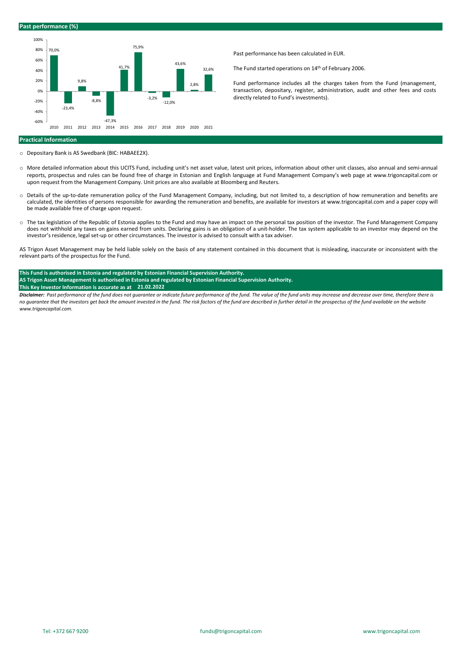### **Past performance (%)**



Past performance has been calculated in EUR.

The Fund started operations on 14<sup>th</sup> of February 2006.

Fund performance includes all the charges taken from the Fund (management, transaction, depositary, register, administration, audit and other fees and costs directly related to Fund's investments).

### **Practical Information**

- o Depositary Bank is AS Swedbank (BIC: HABAEE2X).
- o More detailed information about this UCITS Fund, including unit's net asset value, latest unit prices, information about other unit classes, also annual and semi-annual reports, prospectus and rules can be found free of charge in Estonian and English language at Fund Management Company's web page at www.trigoncapital.com or upon request from the Management Company. Unit prices are also available at Bloomberg and Reuters.
- o Details of the up-to-date remuneration policy of the Fund Management Company, including, but not limited to, a description of how remuneration and benefits are calculated, the identities of persons responsible for awarding the remuneration and benefits, are available for investors at www.trigoncapital.com and a paper copy will be made available free of charge upon request.
- o The tax legislation of the Republic of Estonia applies to the Fund and may have an impact on the personal tax position of the investor. The Fund Management Company does not withhold any taxes on gains earned from units. Declaring gains is an obligation of a unit-holder. The tax system applicable to an investor may depend on the investor's residence, legal set-up or other circumstances. The investor is advised to consult with a tax adviser.

AS Trigon Asset Management may be held liable solely on the basis of any statement contained in this document that is misleading, inaccurate or inconsistent with the relevant parts of the prospectus for the Fund.

### **This Fund is authorised in Estonia and regulated by Estonian Financial Supervision Authority. AS Trigon Asset Management is authorised in Estonia and regulated by Estonian Financial Supervision Authority.**

## **This Key Investor Information is accurate as at 21.02.2022**

*Disclaimer: Past performance of the fund does not guarantee or indicate future performance of the fund. The value of the fund units may increase and decrease over time, therefore there is no guarantee that the investors get back the amount invested in the fund. The risk factors of the fund are described in further detail in the prospectus of the fund available on the website www.trigoncapital.com.*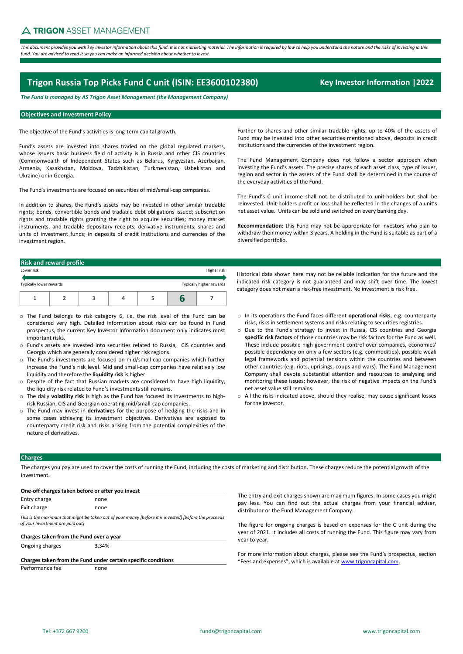This document provides you with key investor information about this fund. It is not marketing material. The information is required by law to help you understand the nature and the risks of investing in this *fund. You are advised to read it so you can make an informed decision about whether to invest.*

# **Trigon Russia Top Picks Fund C unit (ISIN: EE3600102380)** Key Investor Information 12022

*The Fund is managed by AS Trigon Asset Management (the Management Company)*

# **Objectives and Investment Policy**

The objective of the Fund's activities is long-term capital growth.

Fund's assets are invested into shares traded on the global regulated markets, whose issuers basic business field of activity is in Russia and other CIS countries (Commonwealth of Independent States such as Belarus, Kyrgyzstan, Azerbaijan, Armenia, Kazakhstan, Moldova, Tadzhikistan, Turkmenistan, Uzbekistan and Ukraine) or in Georgia.

The Fund's investments are focused on securities of mid/small-cap companies.

In addition to shares, the Fund's assets may be invested in other similar tradable rights; bonds, convertible bonds and tradable debt obligations issued; subscription rights and tradable rights granting the right to acquire securities; money market instruments, and tradable depositary receipts; derivative instruments; shares and units of investment funds; in deposits of credit institutions and currencies of the investment region.

Further to shares and other similar tradable rights, up to 40% of the assets of Fund may be invested into other securities mentioned above, deposits in credit institutions and the currencies of the investment region.

The Fund Management Company does not follow a sector approach when investing the Fund's assets. The precise shares of each asset class, type of issuer, region and sector in the assets of the Fund shall be determined in the course of the everyday activities of the Fund.

The Fund's C unit income shall not be distributed to unit-holders but shall be reinvested. Unit-holders profit or loss shall be reflected in the changes of a unit's net asset value. Units can be sold and switched on every banking day.

**Recommendation:** this Fund may not be appropriate for investors who plan to withdraw their money within 3 years. A holding in the Fund is suitable as part of a diversified portfolio.

|                         | <b>Risk and reward profile</b> |  |  |                          |
|-------------------------|--------------------------------|--|--|--------------------------|
| Lower risk              |                                |  |  | Higher risk              |
| Typically lower rewards |                                |  |  | Typically higher rewards |
|                         |                                |  |  |                          |

- o The Fund belongs to risk category 6, i.e. the risk level of the Fund can be considered very high. Detailed information about risks can be found in Fund prospectus, the current Key Investor Information document only indicates most important risks.
- o Fund's assets are invested into securities related to Russia, CIS countries and Georgia which are generally considered higher risk regions.
- o The Fund's investments are focused on mid/small-cap companies which further increase the Fund's risk level. Mid and small-cap companies have relatively low liquidity and therefore the **liquidity risk** is higher.
- o Despite of the fact that Russian markets are considered to have high liquidity, the liquidity risk related to Fund's investments still remains.
- o The daily **volatility risk** is high as the Fund has focused its investments to highrisk Russian, CIS and Georgian operating mid/small-cap companies.
- o The Fund may invest in **derivatives** for the purpose of hedging the risks and in some cases achieving its investment objectives. Derivatives are exposed to counterparty credit risk and risks arising from the potential complexities of the nature of derivatives.

indicated risk category is not guaranteed and may shift over time. The lowest category does not mean a risk-free investment. No investment is risk free.

Historical data shown here may not be reliable indication for the future and the

- o In its operations the Fund faces different **operational risks**, e.g. counterparty risks, risks in settlement systems and risks relating to securities registries.
- o Due to the Fund's strategy to invest in Russia, CIS countries and Georgia **specific risk factors** of those countries may be risk factors for the Fund as well. These include possible high government control over companies, economies' possible dependency on only a few sectors (e.g. commodities), possible weak legal frameworks and potential tensions within the countries and between other countries (e.g. riots, uprisings, coups and wars). The Fund Management Company shall devote substantial attention and resources to analysing and monitoring these issues; however, the risk of negative impacts on the Fund's net asset value still remains.
- o All the risks indicated above, should they realise, may cause significant losses for the investor.

### **Charges**

The charges you pay are used to cover the costs of running the Fund, including the costs of marketing and distribution. These charges reduce the potential growth of the investment.

| Entry charge                                               | none                                                                                                   |  |
|------------------------------------------------------------|--------------------------------------------------------------------------------------------------------|--|
| Exit charge                                                | none                                                                                                   |  |
| of your investment are paid out]                           | This is the maximum that might be taken out of your money [before it is invested] [before the proceeds |  |
|                                                            |                                                                                                        |  |
| Charges taken from the Fund over a year<br>Ongoing charges | 3.34%                                                                                                  |  |
|                                                            | Charges taken from the Fund under certain specific conditions                                          |  |

ie entry and exit charges shown are maximum figures. In some cases you might ay less. You can find out the actual charges from your financial adviser, stributor or the Fund Management Company.

ne figure for ongoing charges is based on expenses for the C unit during the ar of 2021. It includes all costs of running the Fund. This figure may vary from ar to year.

or more information about charges, please see the Fund's prospectus, section ees and expenses", which is available at **www.trigoncapital.com**.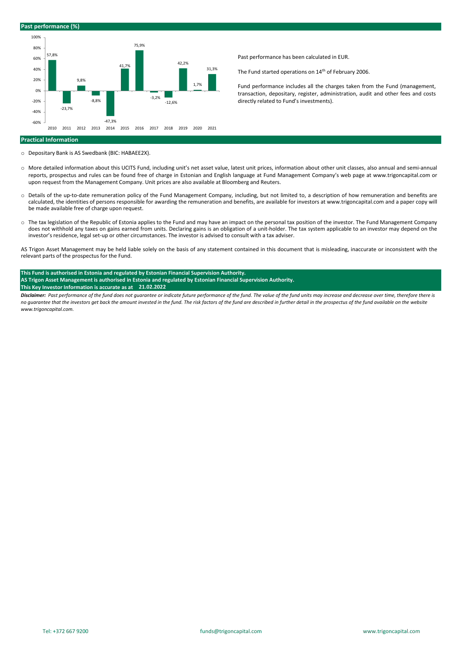### **Past performance (%)**



Past performance has been calculated in EUR.

The Fund started operations on 14<sup>th</sup> of February 2006.

Fund performance includes all the charges taken from the Fund (management, transaction, depositary, register, administration, audit and other fees and costs directly related to Fund's investments).

### **Practical Information**

- o Depositary Bank is AS Swedbank (BIC: HABAEE2X).
- o More detailed information about this UCITS Fund, including unit's net asset value, latest unit prices, information about other unit classes, also annual and semi-annual reports, prospectus and rules can be found free of charge in Estonian and English language at Fund Management Company's web page at www.trigoncapital.com or upon request from the Management Company. Unit prices are also available at Bloomberg and Reuters.
- o Details of the up-to-date remuneration policy of the Fund Management Company, including, but not limited to, a description of how remuneration and benefits are calculated, the identities of persons responsible for awarding the remuneration and benefits, are available for investors at www.trigoncapital.com and a paper copy will be made available free of charge upon request.
- o The tax legislation of the Republic of Estonia applies to the Fund and may have an impact on the personal tax position of the investor. The Fund Management Company does not withhold any taxes on gains earned from units. Declaring gains is an obligation of a unit-holder. The tax system applicable to an investor may depend on the investor's residence, legal set-up or other circumstances. The investor is advised to consult with a tax adviser.

AS Trigon Asset Management may be held liable solely on the basis of any statement contained in this document that is misleading, inaccurate or inconsistent with the relevant parts of the prospectus for the Fund.

## **This Fund is authorised in Estonia and regulated by Estonian Financial Supervision Authority. AS Trigon Asset Management is authorised in Estonia and regulated by Estonian Financial Supervision Authority. This Key Investor Information is accurate as at 21.02.2022**

*Disclaimer: Past performance of the fund does not guarantee or indicate future performance of the fund. The value of the fund units may increase and decrease over time, therefore there is no guarantee that the investors get back the amount invested in the fund. The risk factors of the fund are described in further detail in the prospectus of the fund available on the website www.trigoncapital.com.*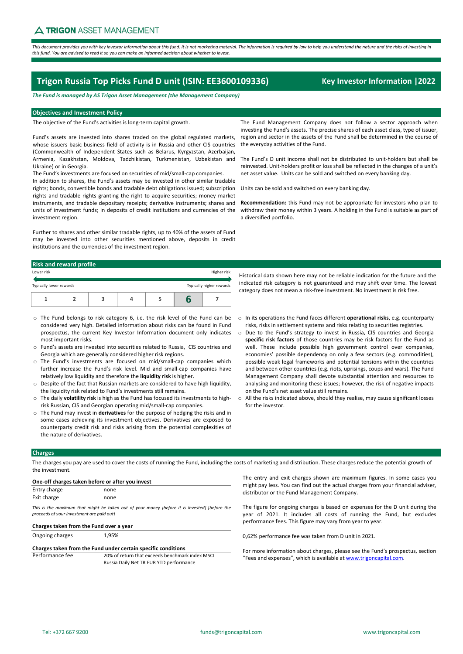This document provides you with key investor information about this fund. It is not marketing material. The information is required by law to help you understand the nature and the risks of investing in this fund. You are advised to read it so you can make an informed decision about whether to invest

# **Trigon Russia Top Picks Fund D unit (ISIN: EE3600109336) Key Investor Information |2022**

*The Fund is managed by AS Trigon Asset Management (the Management Company)*

### **Objectives and Investment Policy**

The objective of the Fund's activities is long‐term capital growth.

Fund's assets are invested into shares traded on the global regulated markets, whose issuers basic business field of activity is in Russia and other CIS countries (Commonwealth of Independent States such as Belarus, Kyrgyzstan, Azerbaijan, Armenia, Kazakhstan, Moldova, Tadzhikistan, Turkmenistan, Uzbekistan and The Fund's Dunit income shall not be distributed to unit-holders but shall be Ukraine) or in Georgia.

The Fund's investments are focused on securities of mid/small‐cap companies. In addition to shares, the Fund's assets may be invested in other similar tradable rights; bonds, convertible bonds and tradable debt obligations issued; subscription rights and tradable rights granting the right to acquire securities; money market instruments, and tradable depositary receipts; derivative instruments; shares and units of investment funds; in deposits of credit institutions and currencies of the investment region.

Further to shares and other similar tradable rights, up to 40% of the assets of Fund may be invested into other securities mentioned above, deposits in credit institutions and the currencies of the investment region.

The Fund Management Company does not follow a sector approach when investing the Fund's assets. The precise shares of each asset class, type of issuer, region and sector in the assets of the Fund shall be determined in the course of the everyday activities of the Fund.

reinvested. Unit‐holders profit or loss shall be reflected in the changes of a unit's net asset value. Units can be sold and switched on every banking day.

Units can be sold and switched on every banking day.

**Recommendation:** this Fund may not be appropriate for investors who plan to withdraw their money within 3 years. A holding in the Fund is suitable as part of a diversified portfolio.

### **Risk and reward profile**

| Lower risk              |  |  | Higher risk              |  |
|-------------------------|--|--|--------------------------|--|
| Typically lower rewards |  |  | Typically higher rewards |  |
|                         |  |  |                          |  |

- o The Fund belongs to risk category 6, i.e. the risk level of the Fund can be considered very high. Detailed information about risks can be found in Fund prospectus, the current Key Investor Information document only indicates most important risks.
- o Fund's assets are invested into securities related to Russia, CIS countries and Georgia which are generally considered higher risk regions.
- The Fund's investments are focused on mid/small-cap companies which further increase the Fund's risk level. Mid and small‐cap companies have relatively low liquidity and therefore the **liquidity risk** is higher.
- o Despite of the fact that Russian markets are considered to have high liquidity, the liquidity risk related to Fund's investments still remains.
- o The daily **volatility risk** is high as the Fund has focused its investments to high‐ risk Russian, CIS and Georgian operating mid/small‐cap companies.
- o The Fund may invest in **derivatives** for the purpose of hedging the risks and in some cases achieving its investment objectives. Derivatives are exposed to counterparty credit risk and risks arising from the potential complexities of the nature of derivatives.
- Historical data shown here may not be reliable indication for the future and the indicated risk category is not guaranteed and may shift over time. The lowest category does not mean a risk‐free investment. No investment is risk free.
- o In its operations the Fund faces different **operational risks**, e.g. counterparty risks, risks in settlement systems and risks relating to securities registries.
- o Due to the Fund's strategy to invest in Russia, CIS countries and Georgia **specific risk factors** of those countries may be risk factors for the Fund as well. These include possible high government control over companies, economies' possible dependency on only a few sectors (e.g. commodities), possible weak legal frameworks and potential tensions within the countries and between other countries (e.g. riots, uprisings, coups and wars). The Fund Management Company shall devote substantial attention and resources to analysing and monitoring these issues; however, the risk of negative impacts on the Fund's net asset value still remains.
- o All the risks indicated above, should they realise, may cause significant losses for the investor.

### **Charges**

The charges you pay are used to cover the costs of running the Fund, including the costs of marketing and distribution. These charges reduce the potential growth of the investment.

|              | One-off charges taken before or after you invest |                                                                               |
|--------------|--------------------------------------------------|-------------------------------------------------------------------------------|
| Entry charge | none                                             |                                                                               |
| Exit charge  | none                                             |                                                                               |
|              |                                                  | This is the maximum that might be taken out of your money (before it is inve. |

*<i>Thefore the* might *proceeds of your investment are paid out]*

# **Charges taken from the Fund over a year**

Ongoing charges 1,95%

**Charges taken from the Fund under certain specific conditions** 20% of return that exceeds benchmark index MSCI Russia Daily Net TR EUR YTD performance

The entry and exit charges shown are maximum figures. In some cases you might pay less. You can find out the actual charges from your financial adviser, distributor or the Fund Management Company.

The figure for ongoing charges is based on expenses for the D unit during the year of 2021. It includes all costs of running the Fund, but excludes performance fees. This figure may vary from year to year.

0,62% performance fee was taken from D unit in 2021.

For more information about charges, please see the Fund's prospectus, section "Fees and expenses", which is available at www.trigoncapital.com.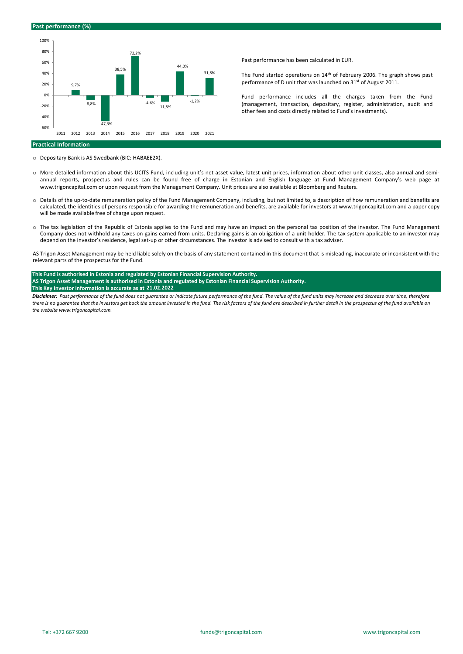



Past performance has been calculated in EUR.

The Fund started operations on 14th of February 2006. The graph shows past performance of D unit that was launched on 31st of August 2011.

Fund performance includes all the charges taken from the Fund (management, transaction, depositary, register, administration, audit and other fees and costs directly related to Fund's investments).

### **Practical Information**

o Depositary Bank is AS Swedbank (BIC: HABAEE2X).

- o More detailed information about this UCITS Fund, including unit's net asset value, latest unit prices, information about other unit classes, also annual and semi‐ annual reports, prospectus and rules can be found free of charge in Estonian and English language at Fund Management Company's web page at www.trigoncapital.com or upon request from the Management Company. Unit prices are also available at Bloomberg and Reuters.
- o Details of the up‐to‐date remuneration policy of the Fund Management Company, including, but not limited to, a description of how remuneration and benefits are calculated, the identities of persons responsible for awarding the remuneration and benefits, are available for investors at www.trigoncapital.com and a paper copy will be made available free of charge upon request.
- o The tax legislation of the Republic of Estonia applies to the Fund and may have an impact on the personal tax position of the investor. The Fund Management Company does not withhold any taxes on gains earned from units. Declaring gains is an obligation of a unit‐holder. The tax system applicable to an investor may depend on the investor's residence, legal set‐up or other circumstances. The investor is advised to consult with a tax adviser.

AS Trigon Asset Management may be held liable solely on the basis of any statement contained in this document that is misleading, inaccurate or inconsistent with the relevant parts of the prospectus for the Fund.

### **This Fund is authorised in Estonia and regulated by Estonian Financial Supervision Authority.**  AS Trigon Asset Management is authorised in Estonia and regulated by Estonian Financial Supervision Authority. **This Key Investor Information is accurate as at 21.02.2022**

Disclaimer: Past performance of the fund does not guarantee or indicate future performance of the fund. The value of the fund units may increase and decrease over time, therefore there is no quarantee that the investors get back the amount invested in the fund. The risk factors of the fund are described in further detail in the prospectus of the fund available on *the website www.trigoncapital.com.*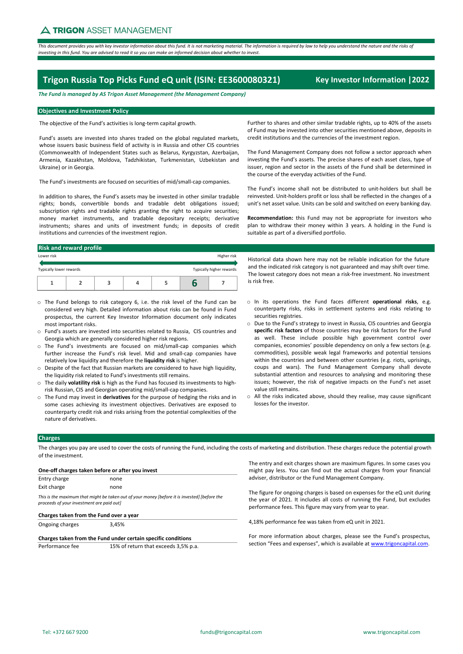This document provides you with key investor information about this fund. It is not marketing material. The information is required by law to help you understand the nature and the risks of investing in this fund. You are advised to read it so you can make an informed decision about whether to invest.

# **Trigon Russia Top Picks Fund eQ unit (ISIN: EE3600080321) Key Investor Information |2022**

*The Fund is managed by AS Trigon Asset Management (the Management Company)*

# **Objectives and Investment Policy**

The objective of the Fund's activities is long‐term capital growth.

Fund's assets are invested into shares traded on the global regulated markets, whose issuers basic business field of activity is in Russia and other CIS countries (Commonwealth of Independent States such as Belarus, Kyrgyzstan, Azerbaijan, Armenia, Kazakhstan, Moldova, Tadzhikistan, Turkmenistan, Uzbekistan and Ukraine) or in Georgia.

The Fund's investments are focused on securities of mid/small‐cap companies.

In addition to shares, the Fund's assets may be invested in other similar tradable rights; bonds, convertible bonds and tradable debt obligations issued; subscription rights and tradable rights granting the right to acquire securities; money market instruments, and tradable depositary receipts; derivative instruments; shares and units of investment funds; in deposits of credit institutions and currencies of the investment region.

# **Risk and reward profile**

| Typically lower rewards<br>Typically higher rewards | Lower risk |  |  | Higher risk |
|-----------------------------------------------------|------------|--|--|-------------|
|                                                     |            |  |  |             |
|                                                     |            |  |  |             |

- o The Fund belongs to risk category 6, i.e. the risk level of the Fund can be considered very high. Detailed information about risks can be found in Fund prospectus, the current Key Investor Information document only indicates most important risks.
- o Fund's assets are invested into securities related to Russia, CIS countries and Georgia which are generally considered higher risk regions.
- o The Fund's investments are focused on mid/small‐cap companies which further increase the Fund's risk level. Mid and small‐cap companies have relatively low liquidity and therefore the **liquidity risk** is higher.
- o Despite of the fact that Russian markets are considered to have high liquidity, the liquidity risk related to Fund's investments still remains.
- o The daily **volatility risk** is high as the Fund has focused its investments to high‐ risk Russian, CIS and Georgian operating mid/small‐cap companies.
- o The Fund may invest in **derivatives** for the purpose of hedging the risks and in some cases achieving its investment objectives. Derivatives are exposed to counterparty credit risk and risks arising from the potential complexities of the nature of derivatives.

Further to shares and other similar tradable rights, up to 40% of the assets of Fund may be invested into other securities mentioned above, deposits in credit institutions and the currencies of the investment region.

The Fund Management Company does not follow a sector approach when investing the Fund's assets. The precise shares of each asset class, type of issuer, region and sector in the assets of the Fund shall be determined in the course of the everyday activities of the Fund.

The Fund's income shall not be distributed to unit‐holders but shall be reinvested. Unit‐holders profit or loss shall be reflected in the changes of a unit's net asset value. Units can be sold and switched on every banking day.

**Recommendation:** this Fund may not be appropriate for investors who plan to withdraw their money within 3 years. A holding in the Fund is suitable as part of a diversified portfolio.

Historical data shown here may not be reliable indication for the future and the indicated risk category is not guaranteed and may shift over time. The lowest category does not mean a risk‐free investment. No investment is risk free.

- o In its operations the Fund faces different **operational risks**, e.g. counterparty risks, risks in settlement systems and risks relating to securities registries.
- o Due to the Fund's strategy to invest in Russia, CIS countries and Georgia **specific risk factors** of those countries may be risk factors for the Fund as well. These include possible high government control over companies, economies' possible dependency on only a few sectors (e.g. commodities), possible weak legal frameworks and potential tensions within the countries and between other countries (e.g. riots, uprisings, coups and wars). The Fund Management Company shall devote substantial attention and resources to analysing and monitoring these issues; however, the risk of negative impacts on the Fund's net asset value still remains.
- o All the risks indicated above, should they realise, may cause significant losses for the investor.

## **Charges**

The charges you pay are used to cover the costs of running the Fund, including the costs of marketing and distribution. These charges reduce the potential growth of the investment.

| One-off charges taken before or after you invest           |                                                                                               |
|------------------------------------------------------------|-----------------------------------------------------------------------------------------------|
| Entry charge                                               | none                                                                                          |
| Exit charge                                                | none                                                                                          |
| proceeds of your investment are paid out]                  | This is the maximum that might be taken out of your money (before it is invested) (before the |
|                                                            |                                                                                               |
| Charges taken from the Fund over a year<br>Ongoing charges | 3.45%                                                                                         |
|                                                            | Charges taken from the Fund under certain specific conditions                                 |

The entry and exit charges shown are maximum figures. In some cases you might pay less. You can find out the actual charges from your financial adviser, distributor or the Fund Management Company.

The figure for ongoing charges is based on expenses for the eQ unit during the year of 2021. It includes all costs of running the Fund, but excludes performance fees. This figure may vary from year to year.

4,18% performance fee was taken from eQ unit in 2021.

For more information about charges, please see the Fund's prospectus, section "Fees and expenses", which is available at www.trigoncapital.com.